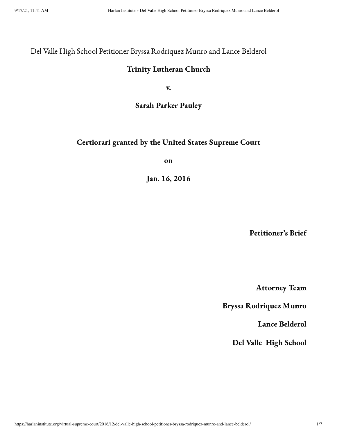Del Valle High School Petitioner Bryssa Rodriquez Munro and Lance Belderol

#### Trinity Lutheran Church

v.

#### Sarah Parker Pauley

## Certiorari granted by the United States Supreme Court

on

Jan. 16, 2016

Petitioner's Brief

Attorney Team

Bryssa Rodriquez Munro

Lance Belderol

Del Valle High School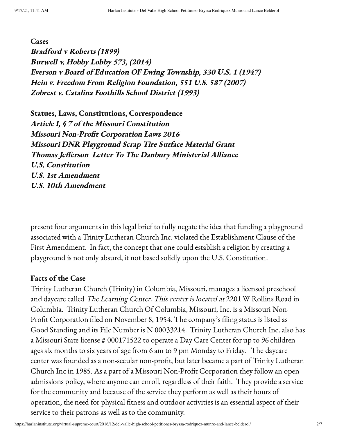**Cases** 

Bradford <sup>v</sup> Roberts (1899) Burwell v. Hobby Lobby 573, (2014) Everson <sup>v</sup> Board of Education OF Ewing Township, <sup>330</sup> U.S. <sup>1</sup> (1947) Hein v. Freedom From Religion Foundation, <sup>551</sup> U.S. <sup>587</sup> (2007) Zobrest v. Catalina Foothills School District (1993)

Statues, Laws, Constitutions, Correspondence Article I, § 7 of the Missouri Constitution Missouri Non-Profit Corporation Laws <sup>2016</sup> Missouri DNR Playground Scrap Tire Surface Material Grant Thomas Jefferson Letter To The Danbury Ministerial Alliance U.S. Constitution U.S. 1st Amendment U.S. 10th Amendment

present four arguments in this legal brief to fully negate the idea that funding a playground associated with a Trinity Lutheran Church Inc. violated the Establishment Clause of the First Amendment. In fact, the concept that one could establish a religion by creating a playground is not only absurd, it not based solidly upon the U.S. Constitution.

#### Facts of the Case

Trinity Lutheran Church (Trinity) in Columbia, Missouri, manages a licensed preschool and daycare called The Learning Center. This center is located at 2201 W Rollins Road in Columbia. Trinity Lutheran Church Of Columbia, Missouri, Inc. is a Missouri Non-Profit Corporation filed on November 8, 1954. The company's filing status is listed as Good Standing and its File Number is N 00033214. Trinity Lutheran Church Inc. also has a Missouri State license # 000171522 to operate a Day Care Center for up to 96 children ages six months to six years of age from 6 am to 9 pm Monday to Friday. The daycare center was founded as a non-secular non-profit, but later became a part of Trinity Lutheran Church Inc in 1985. As a part of a Missouri Non-Profit Corporation they follow an open admissions policy, where anyone can enroll, regardless of their faith. They provide a service for the community and because of the service they perform as well as their hours of operation, the need for physical fitness and outdoor activities is an essential aspect of their service to their patrons as well as to the community.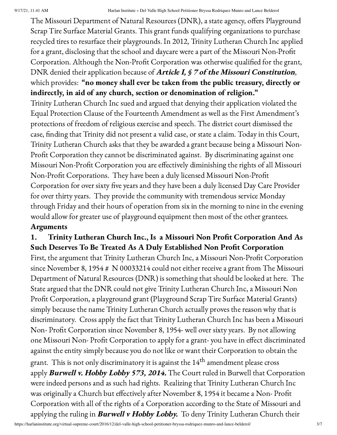The Missouri Department of Natural Resources (DNR), a state agency, offers Playground Scrap Tire Surface Material Grants. This grant funds qualifying organizations to purchase recycled tires to resurface their playgrounds. In 2012, Trinity Lutheran Church Inc applied for a grant, disclosing that the school and daycare were a part of the Missouri Non-Profit Corporation. Although the Non-Profit Corporation was otherwise qualified for the grant, DNR denied their application because of **Article I, § 7 of the Missouri Constitution**, which provides: "no money shall ever be taken from the public treasury, directly or indirectly, in aid of any church, section or denomination of religion."

Trinity Lutheran Church Inc sued and argued that denying their application violated the Equal Protection Clause of the Fourteenth Amendment as well as the First Amendment's protections of freedom of religious exercise and speech. The district court dismissed the case, finding that Trinity did not present a valid case, or state a claim. Today in this Court, Trinity Lutheran Church asks that they be awarded a grant because being a Missouri Non-Profit Corporation they cannot be discriminated against. By discriminating against one Missouri Non-Profit Corporation you are effectively diminishing the rights of all Missouri Non-Profit Corporations. They have been a duly licensed Missouri Non-Profit Corporation for over sixty five years and they have been a duly licensed Day Care Provider for over thirty years. They provide the community with tremendous service Monday through Friday and their hours of operation from six in the morning to nine in the evening would allow for greater use of playground equipment then most of the other grantees.

## Arguments

# 1. Trinity Lutheran Church Inc., Is a Missouri Non Profit Corporation And As Such Deserves To Be Treated As A Duly Established Non Profit Corporation

First, the argument that Trinity Lutheran Church Inc, a Missouri Non-Profit Corporation since November 8, 1954 # N 00033214 could not either receive a grant from The Missouri Department of Natural Resources (DNR) is something that should be looked at here. The State argued that the DNR could not give Trinity Lutheran Church Inc, a Missouri Non Profit Corporation, a playground grant (Playground Scrap Tire Surface Material Grants) simply because the name Trinity Lutheran Church actually proves the reason why that is discriminatory. Cross apply the fact that Trinity Lutheran Church Inc has been a Missouri Non- Profit Corporation since November 8, 1954- well over sixty years. By not allowing one Missouri Non- Profit Corporation to apply for a grant- you have in effect discriminated against the entity simply because you do not like or want their Corporation to obtain the grant. This is not only discriminatory it is against the  $14^{\rm th}$  amendment please cross apply **Burwell v. Hobby Lobby 573, 2014.** The Court ruled in Burwell that Corporation were indeed persons and as such had rights. Realizing that Trinity Lutheran Church Inc was originally a Church but effectively after November 8, 1954 it became a Non- Profit Corporation with all of the rights of a Corporation according to the State of Missouri and applying the ruling in **Burwell v Hobby Lobby.** To deny Trinity Lutheran Church their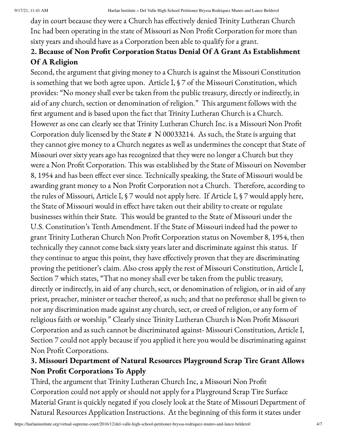day in court because they were a Church has effectively denied Trinity Lutheran Church Inc had been operating in the state of Missouri as Non Profit Corporation for more than sixty years and should have as a Corporation been able to qualify for a grant.

# 2. Because of Non Profit Corporation Status Denial Of A Grant As Establishment Of A Religion

Second, the argument that giving money to a Church is against the Missouri Constitution is something that we both agree upon. Article I, § 7 of the Missouri Constitution, which provides: "No money shall ever be taken from the public treasury, directly or indirectly, in aid of any church, section or denomination of religion." This argument follows with the first argument and is based upon the fact that Trinity Lutheran Church is a Church. However as one can clearly see that Trinity Lutheran Church Inc. is a Missouri Non Profit Corporation duly licensed by the State # N 00033214. As such, the State is arguing that they cannot give money to a Church negates as well as undermines the concept that State of Missouri over sixty years ago has recognized that they were no longer a Church but they were a Non Profit Corporation. This was established by the State of Missouri on November 8, 1954 and has been effect ever since. Technically speaking, the State of Missouri would be awarding grant money to a Non Profit Corporation not a Church. Therefore, according to the rules of Missouri, Article I, § 7 would not apply here. If Article I, § 7 would apply here, the State of Missouri would in effect have taken out their ability to create or regulate businesses within their State. This would be granted to the State of Missouri under the U.S. Constitution's Tenth Amendment. If the State of Missouri indeed had the power to grant Trinity Lutheran Church Non Profit Corporation status on November 8, 1954, then technically they cannot come back sixty years later and discriminate against this status. If they continue to argue this point, they have effectively proven that they are discriminating proving the petitioner's claim. Also cross apply the rest of Missouri Constitution, Article I, Section 7 which states, "That no money shall ever be taken from the public treasury, directly or indirectly, in aid of any church, sect, or denomination of religion, or in aid of any priest, preacher, minister or teacher thereof, as such; and that no preference shall be given to nor any discrimination made against any church, sect, or creed of religion, or any form of religious faith or worship." Clearly since Trinity Lutheran Church is Non Profit Missouri Corporation and as such cannot be discriminated against- Missouri Constitution, Article I, Section 7 could not apply because if you applied it here you would be discriminating against Non Profit Corporations.

# 3. Missouri Department of Natural Resources Playground Scrap Tire Grant Allows Non Profit Corporations To Apply

Third, the argument that Trinity Lutheran Church Inc, a Missouri Non Profit Corporation could not apply or should not apply for a Playground Scrap Tire Surface Material Grant is quickly negated if you closely look at the State of Missouri Department of Natural Resources Application Instructions. At the beginning of this form it states under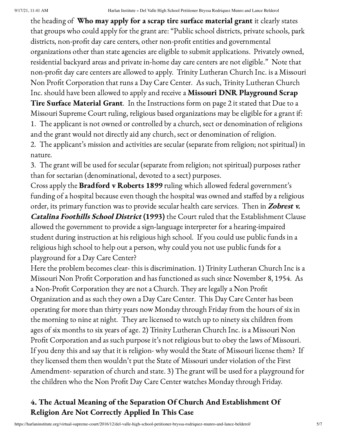the heading of Who may apply for a scrap tire surface material grant it clearly states that groups who could apply for the grant are: "Public school districts, private schools, park districts, non-profit day care centers, other non-profit entities and governmental organizations other than state agencies are eligible to submit applications. Privately owned, residential backyard areas and private in-home day care centers are not eligible." Note that non-profit day care centers are allowed to apply. Trinity Lutheran Church Inc. is a Missouri Non Profit Corporation that runs a Day Care Center. As such, Trinity Lutheran Church Inc. should have been allowed to apply and receive a Missouri DNR Playground Scrap Tire Surface Material Grant. In the Instructions form on page 2 it stated that Due to a Missouri Supreme Court ruling, religious based organizations may be eligible for a grant if: 1. The applicant is not owned or controlled by a church, sect or denomination of religions

and the grant would not directly aid any church, sect or denomination of religion.

2. The applicant's mission and activities are secular (separate from religion; not spiritual) in nature.

3. The grant will be used for secular (separate from religion; not spiritual) purposes rather than for sectarian (denominational, devoted to a sect) purposes.

Cross apply the Bradford v Roberts 1899 ruling which allowed federal government's funding of a hospital because even though the hospital was owned and staffed by a religious order, its primary function was to provide secular health care services. Then in Zobrest v.

Catalina Foothills School District (1993) the Court ruled that the Establishment Clause allowed the government to provide a sign-language interpreter for a hearing-impaired student during instruction at his religious high school. If you could use public funds in a religious high school to help out a person, why could you not use public funds for a playground for a Day Care Center?

Here the problem becomes clear- this is discrimination. 1) Trinity Lutheran Church Inc is a Missouri Non Profit Corporation and has functioned as such since November 8, 1954. As a Non-Profit Corporation they are not a Church. They are legally a Non Profit Organization and as such they own a Day Care Center. This Day Care Center has been operating for more than thirty years now Monday through Friday from the hours of six in the morning to nine at night. They are licensed to watch up to ninety six children from ages of six months to six years of age. 2) Trinity Lutheran Church Inc. is a Missouri Non Profit Corporation and as such purpose it's not religious but to obey the laws of Missouri. If you deny this and say that it is religion- why would the State of Missouri license them? If they licensed them then wouldn't put the State of Missouri under violation of the First Amendment- separation of church and state. 3) The grant will be used for a playground for the children who the Non Profit Day Care Center watches Monday through Friday.

# 4. The Actual Meaning of the Separation Of Church And Establishment Of Religion Are Not Correctly Applied In This Case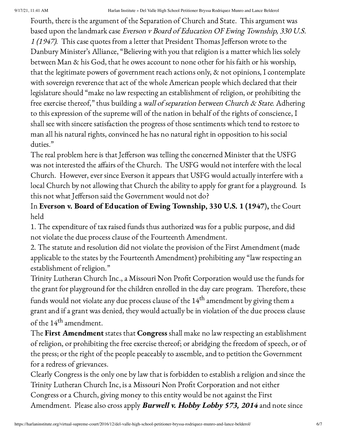9/17/21, 11:41 AM Harlan Institute » Del Valle High School Petitioner Bryssa Rodriquez Munro and Lance Belderol

Fourth, there is the argument of the Separation of Church and State. This argument was based upon the landmark case Everson <sup>v</sup> Board of Education OF Ewing Township, <sup>330</sup> U.S. <sup>1</sup> (1947). This case quotes from a letter that President Thomas Jefferson wrote to the Danbury Minister's Alliance, "Believing with you that religion is a matter which lies solely between Man & his God, that he owes account to none other for his faith or his worship, that the legitimate powers of government reach actions only, & not opinions, I contemplate with sovereign reverence that act of the whole American people which declared that their legislature should "make no law respecting an establishment of religion, or prohibiting the free exercise thereof," thus building a wall of separation between Church & State. Adhering to this expression of the supreme will of the nation in behalf of the rights of conscience, I shall see with sincere satisfaction the progress of those sentiments which tend to restore to man all his natural rights, convinced he has no natural right in opposition to his social duties."

The real problem here is that Jefferson was telling the concerned Minister that the USFG was not interested the affairs of the Church. The USFG would not interfere with the local Church. However, ever since Everson it appears that USFG would actually interfere with a local Church by not allowing that Church the ability to apply for grant for a playground. Is this not what Jefferson said the Government would not do?

In Everson v. Board of Education of Ewing Township, 330 U.S. 1 (1947), the Court held

1. The expenditure of tax raised funds thus authorized was for a public purpose, and did not violate the due process clause of the Fourteenth Amendment.

2. The statute and resolution did not violate the provision of the First Amendment (made applicable to the states by the Fourteenth Amendment) prohibiting any "law respecting an establishment of religion."

Trinity Lutheran Church Inc., a Missouri Non Profit Corporation would use the funds for the grant for playground for the children enrolled in the day care program. Therefore, these funds would not violate any due process clause of the  $14^{\rm th}$  amendment by giving them a grant and if a grant was denied, they would actually be in violation of the due process clause of the 14<sup>th</sup> amendment.

The First Amendment states that Congress shall make no law respecting an establishment of religion, or prohibiting the free exercise thereof; or abridging the freedom of speech, or of the press; or the right of the people peaceably to assemble, and to petition the Government for a redress of grievances.

Clearly Congress is the only one by law that is forbidden to establish a religion and since the Trinity Lutheran Church Inc, is a Missouri Non Profit Corporation and not either Congress or a Church, giving money to this entity would be not against the First Amendment. Please also cross apply **Burwell v. Hobby Lobby 573, 2014** and note since